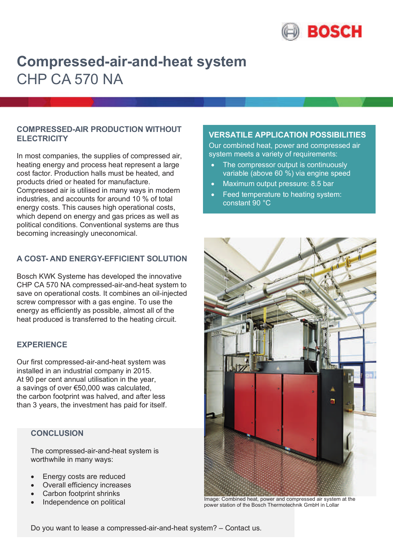

# **Compressed-air-and-heat system** CHP CA 570 NA

### **COMPRESSED-AIR PRODUCTION WITHOUT ELECTRICITY**

In most companies, the supplies of compressed air, heating energy and process heat represent a large cost factor. Production halls must be heated, and products dried or heated for manufacture. Compressed air is utilised in many ways in modern industries, and accounts for around 10 % of total energy costs. This causes high operational costs, which depend on energy and gas prices as well as political conditions. Conventional systems are thus becoming increasingly uneconomical.

# **A COST- AND ENERGY-EFFICIENT SOLUTION**

Bosch KWK Systeme has developed the innovative CHP CA 570 NA compressed-air-and-heat system to save on operational costs. It combines an oil-injected screw compressor with a gas engine. To use the energy as efficiently as possible, almost all of the heat produced is transferred to the heating circuit.

### **EXPERIENCE**

Our first compressed-air-and-heat system was installed in an industrial company in 2015. At 90 per cent annual utilisation in the year, a savings of over €50,000 was calculated, the carbon footprint was halved, and after less than 3 years, the investment has paid for itself.

# **CONCLUSION**

The compressed-air-and-heat system is worthwhile in many ways:

- Energy costs are reduced
- Overall efficiency increases
- Carbon footprint shrinks
- Independence on political

# **VERSATILE APPLICATION POSSIBILITIES**

Our combined heat, power and compressed air system meets a variety of requirements:

- The compressor output is continuously variable (above 60 %) via engine speed
- Maximum output pressure: 8.5 bar
- Feed temperature to heating system: constant 90 °C



Image: Combined heat, power and compressed air system at the power station of the Bosch Thermotechnik GmbH in Lollar

Do you want to lease a compressed-air-and-heat system? – Contact us.